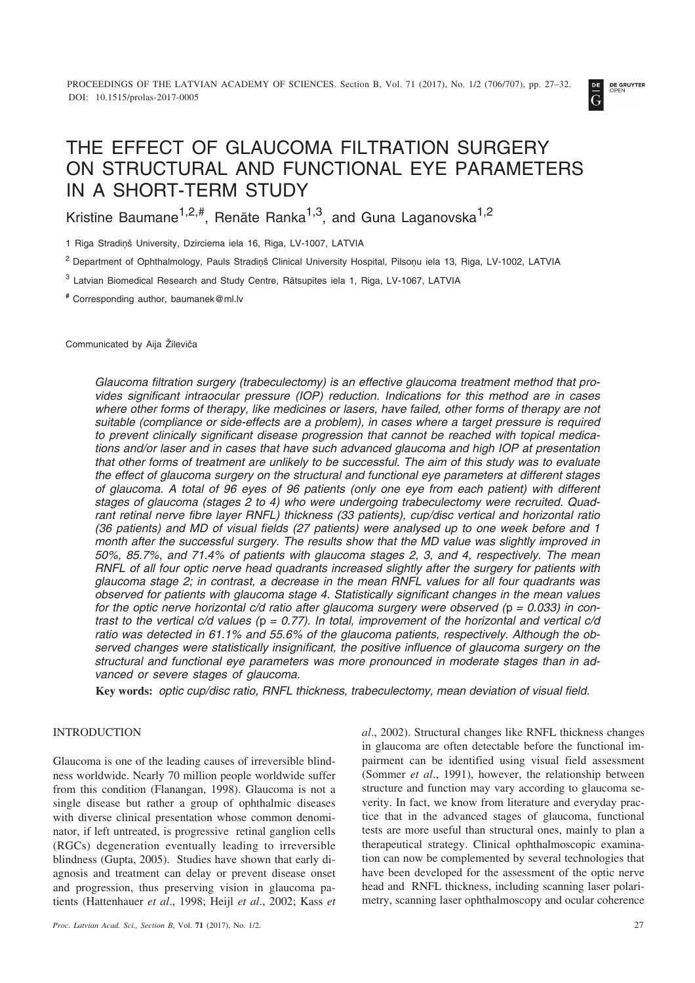

# THE EFFECT OF GLAUCOMA FILTRATION SURGERY ON STRUCTURAL AND FUNCTIONAL EYE PARAMETERS IN A SHORT-TERM STUDY

Kristine Baumane<sup>1,2,#</sup>, Renāte Ranka<sup>1,3</sup>, and Guna Laganovska<sup>1,2</sup>

1 Riga Stradinš University, Dzirciema iela 16, Riga, LV-1007, LATVIA

<sup>2</sup> Department of Ophthalmology, Pauls Stradiņš Clinical University Hospital, Pilsoņu iela 13, Riga, LV-1002, LATVIA

<sup>3</sup> Latvian Biomedical Research and Study Centre, Rātsupītes iela 1, Riga, LV-1067, LATVIA

**#** Corresponding author, baumanek@ml.lv

Communicated by Aija Žileviča

*Glaucoma filtration surgery (trabeculectomy) is an effective glaucoma treatment method that provides significant intraocular pressure (IOP) reduction. Indications for this method are in cases where other forms of therapy, like medicines or lasers, have failed, other forms of therapy are not suitable (compliance or side-effects are a problem), in cases where a target pressure is required to prevent clinically significant disease progression that cannot be reached with topical medications and/or laser and in cases that have such advanced glaucoma and high IOP at presentation that other forms of treatment are unlikely to be successful. The aim of this study was to evaluate the effect of glaucoma surgery on the structural and functional eye parameters at different stages of glaucoma. A total of 96 eyes of 96 patients (only one eye from each patient) with different stages of glaucoma (stages 2 to 4) who were undergoing trabeculectomy were recruited. Quadrant retinal nerve fibre layer RNFL) thickness (33 patients), cup/disc vertical and horizontal ratio (36 patients) and MD of visual fields (27 patients) were analysed up to one week before and 1 month after the successful surgery. The results show that the MD value was slightly improved in 50%, 85.7%, and 71.4% of patients with glaucoma stages 2, 3, and 4, respectively. The mean RNFL of all four optic nerve head quadrants increased slightly after the surgery for patients with glaucoma stage 2; in contrast, a decrease in the mean RNFL values for all four quadrants was observed for patients with glaucoma stage 4. Statistically significant changes in the mean values for the optic nerve horizontal c/d ratio after glaucoma surgery were observed (*p *= 0.033) in contrast to the vertical c/d values (*p *= 0.77). In total, improvement of the horizontal and vertical c/d ratio was detected in 61.1% and 55.6% of the glaucoma patients, respectively. Although the observed changes were statistically insignificant, the positive influence of glaucoma surgery on the structural and functional eye parameters was more pronounced in moderate stages than in advanced or severe stages of glaucoma.*

**Key words:** *optic cup/disc ratio, RNFL thickness, trabeculectomy, mean deviation of visual field.*

# INTRODUCTION

Glaucoma is one of the leading causes of irreversible blindness worldwide. Nearly 70 million people worldwide suffer from this condition (Flanangan, 1998). Glaucoma is not a single disease but rather a group of ophthalmic diseases with diverse clinical presentation whose common denominator, if left untreated, is progressive retinal ganglion cells (RGCs) degeneration eventually leading to irreversible blindness (Gupta, 2005). Studies have shown that early diagnosis and treatment can delay or prevent disease onset and progression, thus preserving vision in glaucoma patients (Hattenhauer *et al*., 1998; Heijl *et al*., 2002; Kass *et*

*al*., 2002). Structural changes like RNFL thickness changes in glaucoma are often detectable before the functional impairment can be identified using visual field assessment (Sommer *et al*., 1991), however, the relationship between structure and function may vary according to glaucoma severity. In fact, we know from literature and everyday practice that in the advanced stages of glaucoma, functional tests are more useful than structural ones, mainly to plan a therapeutical strategy. Clinical ophthalmoscopic examination can now be complemented by several technologies that have been developed for the assessment of the optic nerve head and RNFL thickness, including scanning laser polarimetry, scanning laser ophthalmoscopy and ocular coherence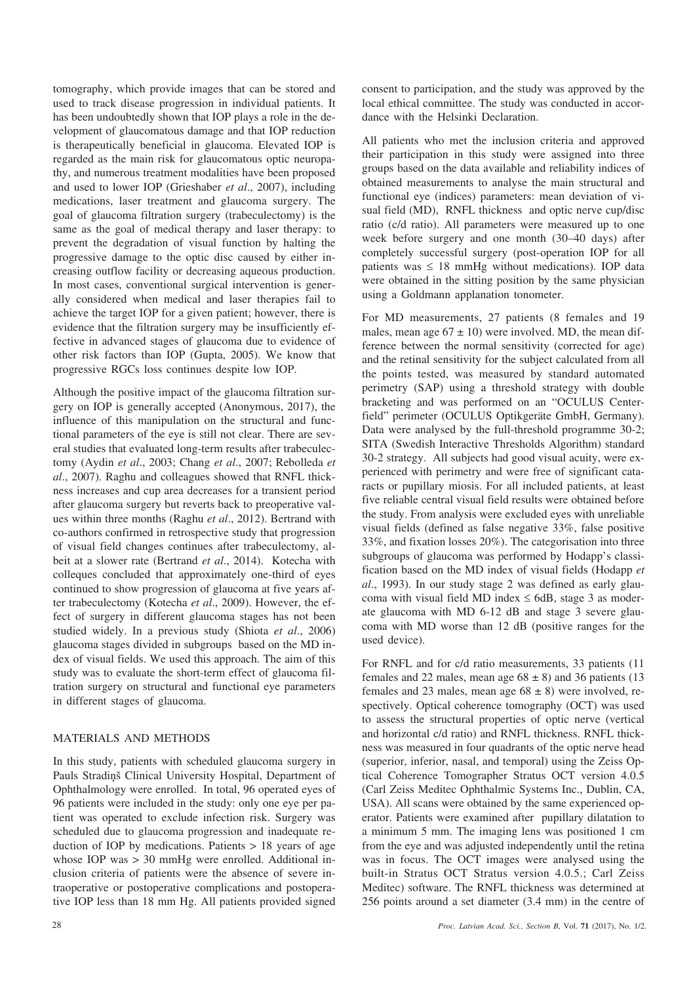tomography, which provide images that can be stored and used to track disease progression in individual patients. It has been undoubtedly shown that IOP plays a role in the development of glaucomatous damage and that IOP reduction is therapeutically beneficial in glaucoma. Elevated IOP is regarded as the main risk for glaucomatous optic neuropathy, and numerous treatment modalities have been proposed and used to lower IOP (Grieshaber *et al*., 2007), including medications, laser treatment and glaucoma surgery. The goal of glaucoma filtration surgery (trabeculectomy) is the same as the goal of medical therapy and laser therapy: to prevent the degradation of visual function by halting the progressive damage to the optic disc caused by either increasing outflow facility or decreasing aqueous production. In most cases, conventional surgical intervention is generally considered when medical and laser therapies fail to achieve the target IOP for a given patient; however, there is evidence that the filtration surgery may be insufficiently effective in advanced stages of glaucoma due to evidence of other risk factors than IOP (Gupta, 2005). We know that progressive RGCs loss continues despite low IOP.

Although the positive impact of the glaucoma filtration surgery on IOP is generally accepted (Anonymous, 2017), the influence of this manipulation on the structural and functional parameters of the eye is still not clear. There are several studies that evaluated long-term results after trabeculectomy (Aydin *et al*., 2003; Chang *et al*., 2007; Rebolleda *et al*., 2007). Raghu and colleagues showed that RNFL thickness increases and cup area decreases for a transient period after glaucoma surgery but reverts back to preoperative values within three months (Raghu *et al*., 2012). Bertrand with co-authors confirmed in retrospective study that progression of visual field changes continues after trabeculectomy, albeit at a slower rate (Bertrand *et al*., 2014). Kotecha with colleques concluded that approximately one-third of eyes continued to show progression of glaucoma at five years after trabeculectomy (Kotecha *et al*., 2009). However, the effect of surgery in different glaucoma stages has not been studied widely. In a previous study (Shiota *et al*., 2006) glaucoma stages divided in subgroups based on the MD index of visual fields. We used this approach. The aim of this study was to evaluate the short-term effect of glaucoma filtration surgery on structural and functional eye parameters in different stages of glaucoma.

# MATERIALS AND METHODS

In this study, patients with scheduled glaucoma surgery in Pauls Stradiòð Clinical University Hospital, Department of Ophthalmology were enrolled. In total, 96 operated eyes of 96 patients were included in the study: only one eye per patient was operated to exclude infection risk. Surgery was scheduled due to glaucoma progression and inadequate reduction of IOP by medications. Patients  $> 18$  years of age whose IOP was  $> 30$  mmHg were enrolled. Additional inclusion criteria of patients were the absence of severe intraoperative or postoperative complications and postoperative IOP less than 18 mm Hg. All patients provided signed

consent to participation, and the study was approved by the local ethical committee. The study was conducted in accordance with the Helsinki Declaration.

All patients who met the inclusion criteria and approved their participation in this study were assigned into three groups based on the data available and reliability indices of obtained measurements to analyse the main structural and functional eye (indices) parameters: mean deviation of visual field (MD), RNFL thickness and optic nerve cup/disc ratio (c/d ratio). All parameters were measured up to one week before surgery and one month (30–40 days) after completely successful surgery (post-operation IOP for all patients was  $\leq 18$  mmHg without medications). IOP data were obtained in the sitting position by the same physician using a Goldmann applanation tonometer.

For MD measurements, 27 patients (8 females and 19 males, mean age  $67 \pm 10$ ) were involved. MD, the mean difference between the normal sensitivity (corrected for age) and the retinal sensitivity for the subject calculated from all the points tested, was measured by standard automated perimetry (SAP) using a threshold strategy with double bracketing and was performed on an "OCULUS Centerfield" perimeter (OCULUS Optikgeräte GmbH, Germany). Data were analysed by the full-threshold programme 30-2; SITA (Swedish Interactive Thresholds Algorithm) standard 30-2 strategy. All subjects had good visual acuity, were experienced with perimetry and were free of significant cataracts or pupillary miosis. For all included patients, at least five reliable central visual field results were obtained before the study. From analysis were excluded eyes with unreliable visual fields (defined as false negative 33%, false positive 33%, and fixation losses 20%). The categorisation into three subgroups of glaucoma was performed by Hodapp's classification based on the MD index of visual fields (Hodapp *et al*., 1993). In our study stage 2 was defined as early glaucoma with visual field MD index  $\leq$  6dB, stage 3 as moderate glaucoma with MD 6-12 dB and stage 3 severe glaucoma with MD worse than 12 dB (positive ranges for the used device).

For RNFL and for c/d ratio measurements, 33 patients (11 females and 22 males, mean age  $68 \pm 8$ ) and 36 patients (13) females and 23 males, mean age  $68 \pm 8$ ) were involved, respectively. Optical coherence tomography (OCT) was used to assess the structural properties of optic nerve (vertical and horizontal c/d ratio) and RNFL thickness. RNFL thickness was measured in four quadrants of the optic nerve head (superior, inferior, nasal, and temporal) using the Zeiss Optical Coherence Tomographer Stratus OCT version 4.0.5 (Carl Zeiss Meditec Ophthalmic Systems Inc., Dublin, CA, USA). All scans were obtained by the same experienced operator. Patients were examined after pupillary dilatation to a minimum 5 mm. The imaging lens was positioned 1 cm from the eye and was adjusted independently until the retina was in focus. The OCT images were analysed using the built-in Stratus OCT Stratus version 4.0.5.; Carl Zeiss Meditec) software. The RNFL thickness was determined at 256 points around a set diameter (3.4 mm) in the centre of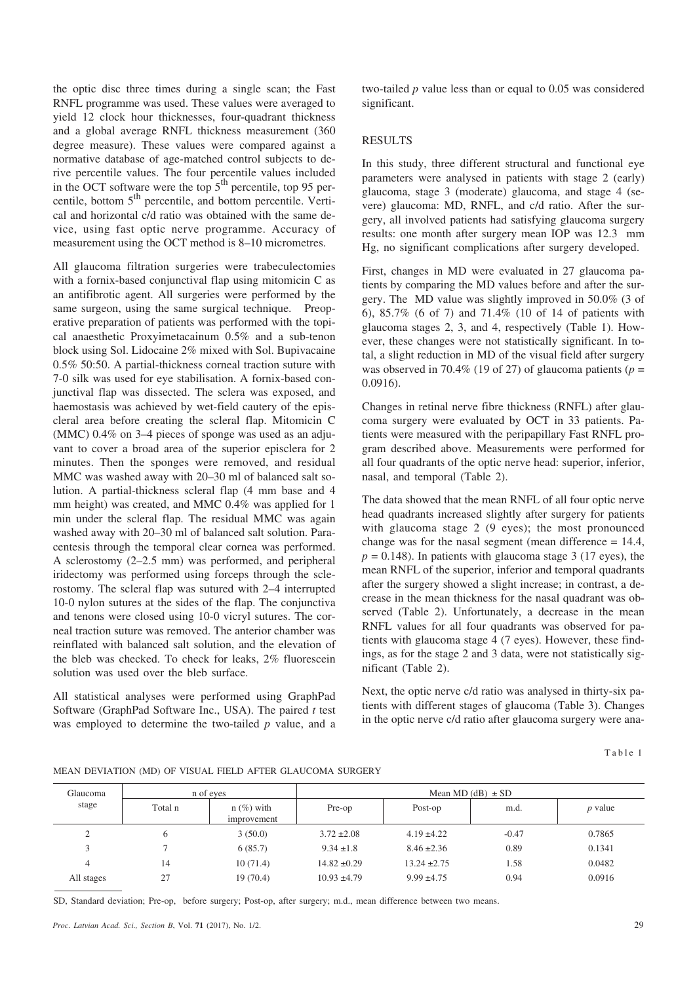the optic disc three times during a single scan; the Fast RNFL programme was used. These values were averaged to yield 12 clock hour thicknesses, four-quadrant thickness and a global average RNFL thickness measurement (360 degree measure). These values were compared against a normative database of age-matched control subjects to derive percentile values. The four percentile values included in the OCT software were the top  $5<sup>th</sup>$  percentile, top 95 percentile, bottom 5<sup>th</sup> percentile, and bottom percentile. Vertical and horizontal c/d ratio was obtained with the same device, using fast optic nerve programme. Accuracy of measurement using the OCT method is 8–10 micrometres.

All glaucoma filtration surgeries were trabeculectomies with a fornix-based conjunctival flap using mitomicin C as an antifibrotic agent. All surgeries were performed by the same surgeon, using the same surgical technique. Preoperative preparation of patients was performed with the topical anaesthetic Proxyimetacainum 0.5% and a sub-tenon block using Sol. Lidocaine 2% mixed with Sol. Bupivacaine 0.5% 50:50. A partial-thickness corneal traction suture with 7-0 silk was used for eye stabilisation. A fornix-based conjunctival flap was dissected. The sclera was exposed, and haemostasis was achieved by wet-field cautery of the episcleral area before creating the scleral flap. Mitomicin C (MMC) 0.4% on 3–4 pieces of sponge was used as an adjuvant to cover a broad area of the superior episclera for 2 minutes. Then the sponges were removed, and residual MMC was washed away with 20–30 ml of balanced salt solution. A partial-thickness scleral flap (4 mm base and 4 mm height) was created, and MMC 0.4% was applied for 1 min under the scleral flap. The residual MMC was again washed away with 20–30 ml of balanced salt solution. Paracentesis through the temporal clear cornea was performed. A sclerostomy (2–2.5 mm) was performed, and peripheral iridectomy was performed using forceps through the sclerostomy. The scleral flap was sutured with 2–4 interrupted 10-0 nylon sutures at the sides of the flap. The conjunctiva and tenons were closed using 10-0 vicryl sutures. The corneal traction suture was removed. The anterior chamber was reinflated with balanced salt solution, and the elevation of the bleb was checked. To check for leaks, 2% fluorescein solution was used over the bleb surface.

All statistical analyses were performed using GraphPad Software (GraphPad Software Inc., USA). The paired *t* test was employed to determine the two-tailed *p* value, and a two-tailed *p* value less than or equal to 0.05 was considered significant.

# RESULTS

In this study, three different structural and functional eye parameters were analysed in patients with stage 2 (early) glaucoma, stage 3 (moderate) glaucoma, and stage 4 (severe) glaucoma: MD, RNFL, and c/d ratio. After the surgery, all involved patients had satisfying glaucoma surgery results: one month after surgery mean IOP was 12.3 mm Hg, no significant complications after surgery developed.

First, changes in MD were evaluated in 27 glaucoma patients by comparing the MD values before and after the surgery. The MD value was slightly improved in 50.0% (3 of 6), 85.7% (6 of 7) and 71.4% (10 of 14 of patients with glaucoma stages 2, 3, and 4, respectively (Table 1). However, these changes were not statistically significant. In total, a slight reduction in MD of the visual field after surgery was observed in 70.4% (19 of 27) of glaucoma patients ( $p =$ 0.0916).

Changes in retinal nerve fibre thickness (RNFL) after glaucoma surgery were evaluated by OCT in 33 patients. Patients were measured with the peripapillary Fast RNFL program described above. Measurements were performed for all four quadrants of the optic nerve head: superior, inferior, nasal, and temporal (Table 2).

The data showed that the mean RNFL of all four optic nerve head quadrants increased slightly after surgery for patients with glaucoma stage 2 (9 eyes); the most pronounced change was for the nasal segment (mean difference = 14.4,  $p = 0.148$ ). In patients with glaucoma stage 3 (17 eyes), the mean RNFL of the superior, inferior and temporal quadrants after the surgery showed a slight increase; in contrast, a decrease in the mean thickness for the nasal quadrant was observed (Table 2). Unfortunately, a decrease in the mean RNFL values for all four quadrants was observed for patients with glaucoma stage 4 (7 eyes). However, these findings, as for the stage 2 and 3 data, were not statistically significant (Table 2).

Next, the optic nerve c/d ratio was analysed in thirty-six patients with different stages of glaucoma (Table 3). Changes in the optic nerve c/d ratio after glaucoma surgery were ana-

Table 1

|  |  |  | MEAN DEVIATION (MD) OF VISUAL FIELD AFTER GLAUCOMA SURGERY |  |
|--|--|--|------------------------------------------------------------|--|
|  |  |  |                                                            |  |

| Glaucoma           |         | n of eves                   | Mean MD $(dB) \pm SD$ |                  |         |           |  |  |  |
|--------------------|---------|-----------------------------|-----------------------|------------------|---------|-----------|--|--|--|
| stage              | Total n | $n$ (%) with<br>improvement | Pre-op                | Post-op          | m.d.    | $p$ value |  |  |  |
| $\mathcal{L}$<br>∠ | 6       | 3(50.0)                     | $3.72 \pm 2.08$       | $4.19 \pm 4.22$  | $-0.47$ | 0.7865    |  |  |  |
| 3                  |         | 6(85.7)                     | $9.34 \pm 1.8$        | $8.46 \pm 2.36$  | 0.89    | 0.1341    |  |  |  |
| 4                  | 14      | 10(71.4)                    | $14.82 \pm 0.29$      | $13.24 \pm 2.75$ | 1.58    | 0.0482    |  |  |  |
| All stages         | 27      | 19(70.4)                    | $10.93 \pm 4.79$      | $9.99 \pm 4.75$  | 0.94    | 0.0916    |  |  |  |

SD, Standard deviation; Pre-op, before surgery; Post-op, after surgery; m.d., mean difference between two means.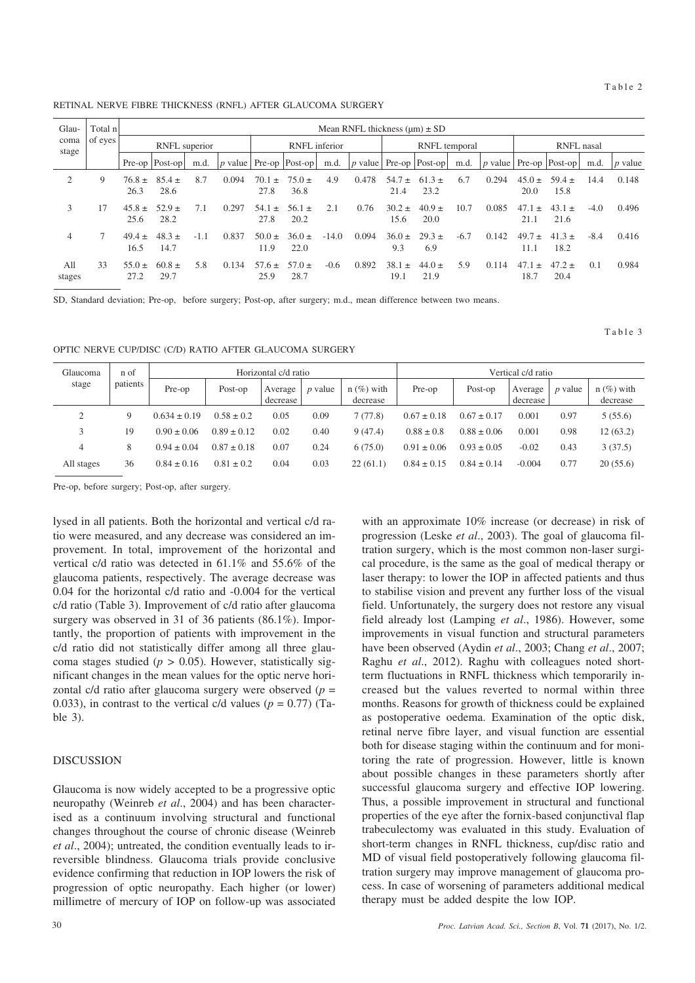Table 3

RETINAL NERVE FIBRE THICKNESS (RNFL) AFTER GLAUCOMA SURGERY

| Glau-<br>coma<br>stage | Total n<br>of eyes |                    |                    |               |       |                       | Mean RNFL thickness $(\mu m) \pm SD$ |         |       |                    |                               |        |       |                        |                                   |        |                |
|------------------------|--------------------|--------------------|--------------------|---------------|-------|-----------------------|--------------------------------------|---------|-------|--------------------|-------------------------------|--------|-------|------------------------|-----------------------------------|--------|----------------|
|                        |                    | RNFL superior      |                    | RNFL inferior |       |                       | RNFL temporal                        |         |       | RNFL nasal         |                               |        |       |                        |                                   |        |                |
|                        |                    |                    | Pre-op   Post-op   | m.d.          |       |                       | $ p$ value   Pre-op   Post-op        | m.d.    |       |                    | $ p$ value   Pre-op   Post-op | m.d.   |       |                        | $ p \text{ value}$ Pre-op Post-op | m.d.   | <i>p</i> value |
| 2                      | 9                  | $76.8 \pm$<br>26.3 | $85.4 \pm$<br>28.6 | 8.7           | 0.094 | 70.1<br>$+$<br>27.8   | $75.0 \pm$<br>36.8                   | 4.9     | 0.478 | $54.7 \pm$<br>21.4 | $61.3 \pm$<br>23.2            | 6.7    | 0.294 | $45.0 \pm$<br>20.0     | $59.4 \pm$<br>15.8                | 14.4   | 0.148          |
| 3                      | 17                 | $45.8 \pm$<br>25.6 | $52.9 +$<br>28.2   | 7.1           | 0.297 | 54.1<br>$\pm$<br>27.8 | $56.1 \pm$<br>20.2                   | 2.1     | 0.76  | $30.2 \pm$<br>15.6 | $40.9 \pm$<br>20.0            | 10.7   | 0.085 | 47.1<br>$\pm$<br>21.1  | $43.1 \pm$<br>21.6                | $-4.0$ | 0.496          |
| 4                      | 7                  | $49.4 \pm$<br>16.5 | $48.3 \pm$<br>14.7 | $-1.1$        | 0.837 | $50.0 \pm 1$<br>11.9  | $36.0 \pm$<br>22.0                   | $-14.0$ | 0.094 | $36.0 \pm$<br>9.3  | $29.3 +$<br>6.9               | $-6.7$ | 0.142 | $49.7 \pm$<br>11.1     | $41.3 +$<br>18.2                  | $-8.4$ | 0.416          |
| A11<br>stages          | 33                 | $55.0 \pm$<br>27.2 | $60.8 \pm$<br>29.7 | 5.8           | 0.134 | $57.6 \pm$<br>25.9    | $57.0 \pm$<br>28.7                   | $-0.6$  | 0.892 | $38.1 \pm$<br>19.1 | $44.0 \pm$<br>21.9            | 5.9    | 0.114 | 47.1<br>$^{+}$<br>18.7 | $47.2 \pm$<br>20.4                | (0.1)  | 0.984          |

SD, Standard deviation; Pre-op, before surgery; Post-op, after surgery; m.d., mean difference between two means.

OPTIC NERVE CUP/DISC (C/D) RATIO AFTER GLAUCOMA SURGERY

| Glaucoma<br>stage | n of<br>patients |                  |                 | Horizontal c/d ratio |                |                          | Vertical c/d ratio |                 |                     |                |                          |  |
|-------------------|------------------|------------------|-----------------|----------------------|----------------|--------------------------|--------------------|-----------------|---------------------|----------------|--------------------------|--|
|                   |                  | Pre-op           | Post-op         | Average<br>decrease  | <i>p</i> value | $n$ (%) with<br>decrease | Pre-op             | Post-op         | Average<br>decrease | <i>p</i> value | $n$ (%) with<br>decrease |  |
|                   |                  | $0.634 \pm 0.19$ | $0.58 \pm 0.2$  | 0.05                 | 0.09           | 7(77.8)                  | $0.67 \pm 0.18$    | $0.67 \pm 0.17$ | 0.001               | 0.97           | 5(55.6)                  |  |
|                   | 19               | $0.90 \pm 0.06$  | $0.89 \pm 0.12$ | 0.02                 | 0.40           | 9(47.4)                  | $0.88 \pm 0.8$     | $0.88 \pm 0.06$ | 0.001               | 0.98           | 12(63.2)                 |  |
| 4                 |                  | $0.94 \pm 0.04$  | $0.87 \pm 0.18$ | 0.07                 | 0.24           | 6(75.0)                  | $0.91 \pm 0.06$    | $0.93 \pm 0.05$ | $-0.02$             | 0.43           | 3(37.5)                  |  |
| All stages        | 36               | $0.84 \pm 0.16$  | $0.81 \pm 0.2$  | 0.04                 | 0.03           | 22(61.1)                 | $0.84 \pm 0.15$    | $0.84 \pm 0.14$ | $-0.004$            | 0.77           | 20(55.6)                 |  |

Pre-op, before surgery; Post-op, after surgery.

lysed in all patients. Both the horizontal and vertical c/d ratio were measured, and any decrease was considered an improvement. In total, improvement of the horizontal and vertical c/d ratio was detected in 61.1% and 55.6% of the glaucoma patients, respectively. The average decrease was 0.04 for the horizontal c/d ratio and -0.004 for the vertical c/d ratio (Table 3). Improvement of c/d ratio after glaucoma surgery was observed in 31 of 36 patients (86.1%). Importantly, the proportion of patients with improvement in the c/d ratio did not statistically differ among all three glaucoma stages studied (*p >* 0.05). However, statistically significant changes in the mean values for the optic nerve horizontal c/d ratio after glaucoma surgery were observed (*p* = 0.033), in contrast to the vertical c/d values ( $p = 0.77$ ) (Table 3).

## DISCUSSION

Glaucoma is now widely accepted to be a progressive optic neuropathy (Weinreb *et al*., 2004) and has been characterised as a continuum involving structural and functional changes throughout the course of chronic disease (Weinreb *et al*., 2004); untreated, the condition eventually leads to irreversible blindness. Glaucoma trials provide conclusive evidence confirming that reduction in IOP lowers the risk of progression of optic neuropathy. Each higher (or lower) millimetre of mercury of IOP on follow-up was associated with an approximate 10% increase (or decrease) in risk of progression (Leske *et al*., 2003). The goal of glaucoma filtration surgery, which is the most common non-laser surgical procedure, is the same as the goal of medical therapy or laser therapy: to lower the IOP in affected patients and thus to stabilise vision and prevent any further loss of the visual field. Unfortunately, the surgery does not restore any visual field already lost (Lamping *et al*., 1986). However, some improvements in visual function and structural parameters have been observed (Aydin *et al*., 2003; Chang *et al*., 2007; Raghu *et al*., 2012). Raghu with colleagues noted shortterm fluctuations in RNFL thickness which temporarily increased but the values reverted to normal within three months. Reasons for growth of thickness could be explained as postoperative oedema. Examination of the optic disk, retinal nerve fibre layer, and visual function are essential both for disease staging within the continuum and for monitoring the rate of progression. However, little is known about possible changes in these parameters shortly after successful glaucoma surgery and effective IOP lowering. Thus, a possible improvement in structural and functional properties of the eye after the fornix-based conjunctival flap trabeculectomy was evaluated in this study. Evaluation of short-term changes in RNFL thickness, cup/disc ratio and MD of visual field postoperatively following glaucoma filtration surgery may improve management of glaucoma process. In case of worsening of parameters additional medical therapy must be added despite the low IOP.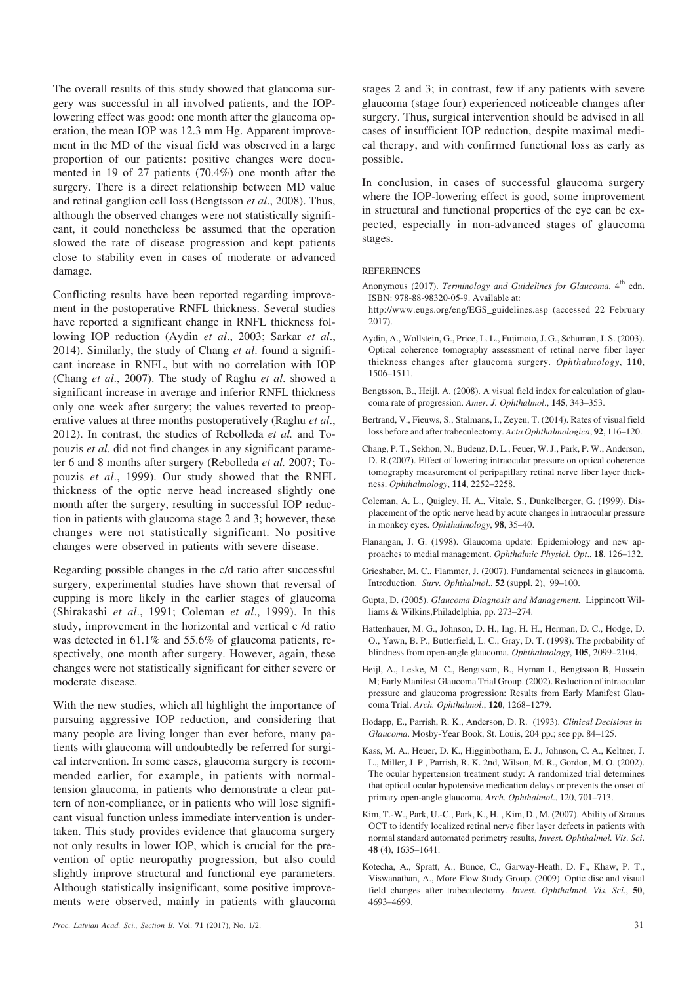The overall results of this study showed that glaucoma surgery was successful in all involved patients, and the IOPlowering effect was good: one month after the glaucoma operation, the mean IOP was 12.3 mm Hg. Apparent improvement in the MD of the visual field was observed in a large proportion of our patients: positive changes were documented in 19 of 27 patients (70.4%) one month after the surgery. There is a direct relationship between MD value and retinal ganglion cell loss (Bengtsson *et al*., 2008). Thus, although the observed changes were not statistically significant, it could nonetheless be assumed that the operation slowed the rate of disease progression and kept patients close to stability even in cases of moderate or advanced damage.

Conflicting results have been reported regarding improvement in the postoperative RNFL thickness. Several studies have reported a significant change in RNFL thickness following IOP reduction (Aydin *et al*., 2003; Sarkar *et al*., 2014). Similarly, the study of Chang *et al*. found a significant increase in RNFL, but with no correlation with IOP (Chang *et al*., 2007). The study of Raghu *et al*. showed a significant increase in average and inferior RNFL thickness only one week after surgery; the values reverted to preoperative values at three months postoperatively (Raghu *et al*., 2012). In contrast, the studies of Rebolleda *et al.* and Topouzis *et al*. did not find changes in any significant parameter 6 and 8 months after surgery (Rebolleda *et al.* 2007; Topouzis *et al*., 1999). Our study showed that the RNFL thickness of the optic nerve head increased slightly one month after the surgery, resulting in successful IOP reduction in patients with glaucoma stage 2 and 3; however, these changes were not statistically significant. No positive changes were observed in patients with severe disease.

Regarding possible changes in the c/d ratio after successful surgery, experimental studies have shown that reversal of cupping is more likely in the earlier stages of glaucoma (Shirakashi *et al*., 1991; Coleman *et al*., 1999). In this study, improvement in the horizontal and vertical c /d ratio was detected in 61.1% and 55.6% of glaucoma patients, respectively, one month after surgery. However, again, these changes were not statistically significant for either severe or moderate disease.

With the new studies, which all highlight the importance of pursuing aggressive IOP reduction, and considering that many people are living longer than ever before, many patients with glaucoma will undoubtedly be referred for surgical intervention. In some cases, glaucoma surgery is recommended earlier, for example, in patients with normaltension glaucoma, in patients who demonstrate a clear pattern of non-compliance, or in patients who will lose significant visual function unless immediate intervention is undertaken. This study provides evidence that glaucoma surgery not only results in lower IOP, which is crucial for the prevention of optic neuropathy progression, but also could slightly improve structural and functional eye parameters. Although statistically insignificant, some positive improvements were observed, mainly in patients with glaucoma

stages 2 and 3; in contrast, few if any patients with severe glaucoma (stage four) experienced noticeable changes after surgery. Thus, surgical intervention should be advised in all cases of insufficient IOP reduction, despite maximal medical therapy, and with confirmed functional loss as early as possible.

In conclusion, in cases of successful glaucoma surgery where the IOP-lowering effect is good, some improvement in structural and functional properties of the eye can be expected, especially in non-advanced stages of glaucoma stages.

#### REFERENCES

- Anonymous (2017). *Terminology and Guidelines for Glaucoma*. 4<sup>th</sup> edn. ISBN: 978-88-98320-05-9. Available at:
- http://www.eugs.org/eng/EGS\_guidelines.asp (accessed 22 February 2017).
- Aydin, A., Wollstein, G., Price, L. L., Fujimoto, J. G., Schuman, J. S. (2003). Optical coherence tomography assessment of retinal nerve fiber layer thickness changes after glaucoma surgery. *Ophthalmology*, **110**, 1506–1511.
- Bengtsson, B., Heijl, A. (2008). A visual field index for calculation of glaucoma rate of progression. *Amer. J. Ophthalmol*., **145**, 343–353.
- Bertrand, V., Fieuws, S., Stalmans, I., Zeyen, T. (2014). Rates of visual field loss before and after trabeculectomy. *Acta Ophthalmologica*, **92**, 116–120.
- Chang, P. T., Sekhon, N., Budenz, D. L., Feuer, W. J., Park, P. W., Anderson, D. R.(2007). Effect of lowering intraocular pressure on optical coherence tomography measurement of peripapillary retinal nerve fiber layer thickness. *Ophthalmology*, **114**, 2252–2258.
- Coleman, A. L., Quigley, H. A., Vitale, S., Dunkelberger, G. (1999). Displacement of the optic nerve head by acute changes in intraocular pressure in monkey eyes. *Ophthalmology*, **98**, 35–40.
- Flanangan, J. G. (1998). Glaucoma update: Epidemiology and new approaches to medial management. *Ophthalmic Physiol. Opt*., **18**, 126–132.
- Grieshaber, M. C., Flammer, J. (2007). Fundamental sciences in glaucoma. Introduction. *Surv. Ophthalmol*., **52** (suppl. 2), 99–100.
- Gupta, D. (2005). *Glaucoma Diagnosis and Management.* Lippincott Williams & Wilkins,Philadelphia, pp. 273–274.
- Hattenhauer, M. G., Johnson, D. H., Ing, H. H., Herman, D. C., Hodge, D. O., Yawn, B. P., Butterfield, L. C., Gray, D. T. (1998). The probability of blindness from open-angle glaucoma. *Ophthalmology*, **105**, 2099–2104.
- Heijl, A., Leske, M. C., Bengtsson, B., Hyman L, Bengtsson B, Hussein M; Early Manifest Glaucoma Trial Group. (2002). Reduction of intraocular pressure and glaucoma progression: Results from Early Manifest Glaucoma Trial. *Arch. Ophthalmol*., **120**, 1268–1279.
- Hodapp, E., Parrish, R. K., Anderson, D. R. (1993). *Clinical Decisions in Glaucoma*. Mosby-Year Book, St. Louis, 204 pp.; see pp. 84–125.
- Kass, M. A., Heuer, D. K., Higginbotham, E. J., Johnson, C. A., Keltner, J. L., Miller, J. P., Parrish, R. K. 2nd, Wilson, M. R., Gordon, M. O. (2002). The ocular hypertension treatment study: A randomized trial determines that optical ocular hypotensive medication delays or prevents the onset of primary open-angle glaucoma. *Arch. Ophthalmol*., 120, 701–713.
- Kim, T.-W., Park, U.-C., Park, K., H.., Kim, D., M. (2007). Ability of Stratus OCT to identify localized retinal nerve fiber layer defects in patients with normal standard automated perimetry results, *Invest. Ophthalmol. Vis. Sci*. **48** (4), 1635–1641.
- Kotecha, A., Spratt, A., Bunce, C., Garway-Heath, D. F., Khaw, P. T., Viswanathan, A., More Flow Study Group. (2009). Optic disc and visual field changes after trabeculectomy. *Invest. Ophthalmol. Vis. Sci*., **50**, 4693–4699.